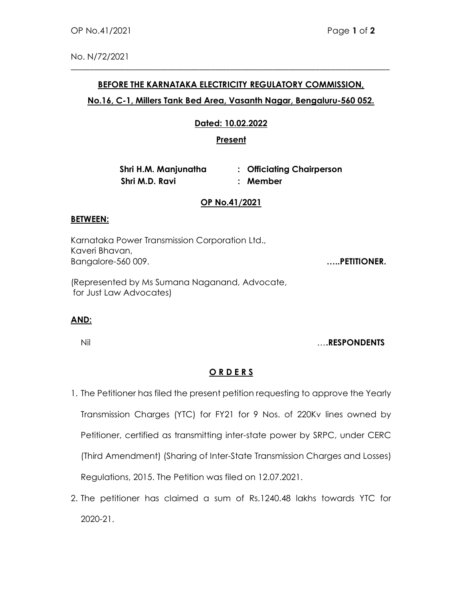No. N/72/2021

## BEFORE THE KARNATAKA ELECTRICITY REGULATORY COMMISSION,

\_\_\_\_\_\_\_\_\_\_\_\_\_\_\_\_\_\_\_\_\_\_\_\_\_\_\_\_\_\_\_\_\_\_\_\_\_\_\_\_\_\_\_\_\_\_\_\_\_\_\_\_\_\_\_\_\_\_\_\_\_\_\_\_\_\_\_\_\_\_\_\_\_\_\_\_\_\_\_\_\_\_

## No.16, C-1, Millers Tank Bed Area, Vasanth Nagar, Bengaluru-560 052.

## Dated: 10.02.2022

## **Present**

Shri H.M. Manjunatha : Officiating Chairperson Shri M.D. Ravi : Member

#### OP No.41/2021

#### BETWEEN:

Karnataka Power Transmission Corporation Ltd., Kaveri Bhavan, Bangalore-560 009. **Example 2018** 2019. **.....PETITIONER.** 

(Represented by Ms Sumana Naganand, Advocate, for Just Law Advocates)

## AND:

Nil ….RESPONDENTS

# O R D E R S

- 1. The Petitioner has filed the present petition requesting to approve the Yearly Transmission Charges (YTC) for FY21 for 9 Nos. of 220Kv lines owned by Petitioner, certified as transmitting inter-state power by SRPC, under CERC (Third Amendment) (Sharing of Inter-State Transmission Charges and Losses) Regulations, 2015. The Petition was filed on 12.07.2021.
- 2. The petitioner has claimed a sum of Rs.1240.48 lakhs towards YTC for 2020-21.